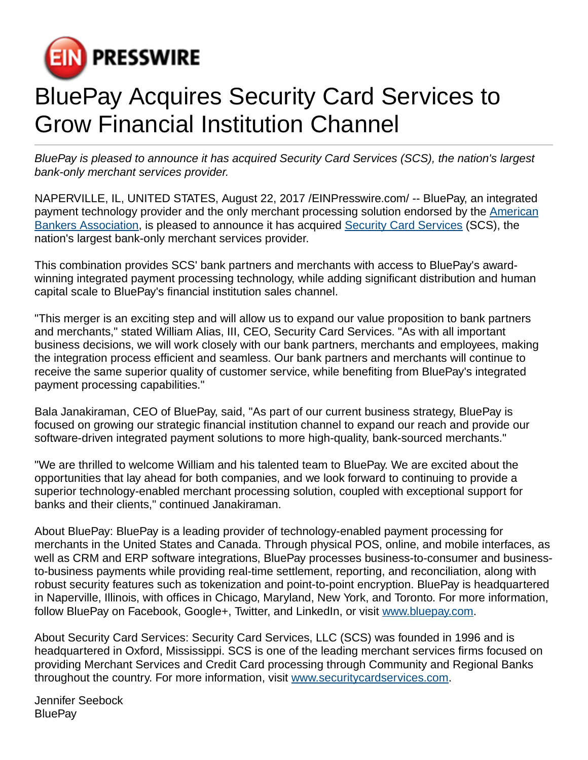

## BluePay Acquires Security Card Services to Grow Financial Institution Channel

BluePay is pleased to announce it has acquired Security Card Services (SCS), the nation's largest bank-only merchant services provider.

NAPERVILLE, IL, UNITED STATES, August 22, 2017 /[EINPresswire.com/](http://www.einpresswire.com) -- BluePay, an integrated payment technology provider and the only merchant processing solution endorsed by the [American](http://www.bluepay.com/merchant-processing-solution-aba-members/) [Bankers Association](http://www.bluepay.com/merchant-processing-solution-aba-members/), is pleased to announce it has acquired [Security Card Services](http://securitycardservices.com/) (SCS), the nation's largest bank-only merchant services provider.

This combination provides SCS' bank partners and merchants with access to BluePay's awardwinning integrated payment processing technology, while adding significant distribution and human capital scale to BluePay's financial institution sales channel.

"This merger is an exciting step and will allow us to expand our value proposition to bank partners and merchants," stated William Alias, III, CEO, Security Card Services. "As with all important business decisions, we will work closely with our bank partners, merchants and employees, making the integration process efficient and seamless. Our bank partners and merchants will continue to receive the same superior quality of customer service, while benefiting from BluePay's integrated payment processing capabilities."

Bala Janakiraman, CEO of BluePay, said, "As part of our current business strategy, BluePay is focused on growing our strategic financial institution channel to expand our reach and provide our software-driven integrated payment solutions to more high-quality, bank-sourced merchants."

"We are thrilled to welcome William and his talented team to BluePay. We are excited about the opportunities that lay ahead for both companies, and we look forward to continuing to provide a superior technology-enabled merchant processing solution, coupled with exceptional support for banks and their clients," continued Janakiraman.

About BluePay: BluePay is a leading provider of technology-enabled payment processing for merchants in the United States and Canada. Through physical POS, online, and mobile interfaces, as well as CRM and ERP software integrations, BluePay processes business-to-consumer and businessto-business payments while providing real-time settlement, reporting, and reconciliation, along with robust security features such as tokenization and point-to-point encryption. BluePay is headquartered in Naperville, Illinois, with offices in Chicago, Maryland, New York, and Toronto. For more information, follow BluePay on Facebook, Google+, Twitter, and LinkedIn, or visit [www.bluepay.com](http://www.bluepay.com).

About Security Card Services: Security Card Services, LLC (SCS) was founded in 1996 and is headquartered in Oxford, Mississippi. SCS is one of the leading merchant services firms focused on providing Merchant Services and Credit Card processing through Community and Regional Banks throughout the country. For more information, visit [www.securitycardservices.com](http://www.securitycardservices.com).

Jennifer Seebock **BluePay**